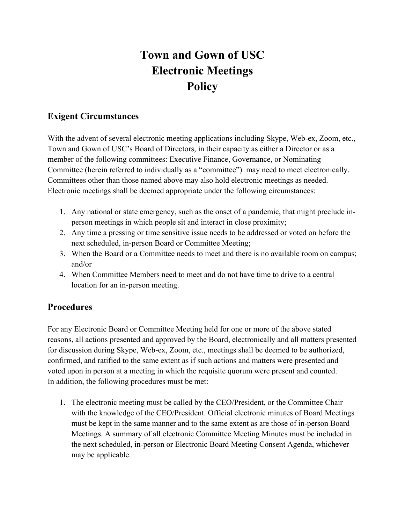## **Town and Gown of USC Electronic Meetings Policy**

## **Exigent Circumstances**

With the advent of several electronic meeting applications including Skype, Web-ex, Zoom, etc., Town and Gown of USC's Board of Directors, in their capacity as either a Director or as a member of the following committees: Executive Finance, Governance, or Nominating Committee (herein referred to individually as a "committee") may need to meet electronically. Committees other than those named above may also hold electronic meetings as needed. Electronic meetings shall be deemed appropriate under the following circumstances:

- 1. Any national or state emergency, such as the onset of a pandemic, that might preclude inperson meetings in which people sit and interact in close proximity;
- 2. Any time a pressing or time sensitive issue needs to be addressed or voted on before the next scheduled, in-person Board or Committee Meeting;
- 3. When the Board or a Committee needs to meet and there is no available room on campus; and/or
- 4. When Committee Members need to meet and do not have time to drive to a central location for an in-person meeting.

## **Procedures**

For any Electronic Board or Committee Meeting held for one or more of the above stated reasons, all actions presented and approved by the Board, electronically and all matters presented for discussion during Skype, Web-ex, Zoom, etc., meetings shall be deemed to be authorized, confirmed, and ratified to the same extent as if such actions and matters were presented and voted upon in person at a meeting in which the requisite quorum were present and counted. In addition, the following procedures must be met:

1. The electronic meeting must be called by the CEO/President, or the Committee Chair with the knowledge of the CEO/President. Official electronic minutes of Board Meetings must be kept in the same manner and to the same extent as are those of in-person Board Meetings. A summary of all electronic Committee Meeting Minutes must be included in the next scheduled, in-person or Electronic Board Meeting Consent Agenda, whichever may be applicable.